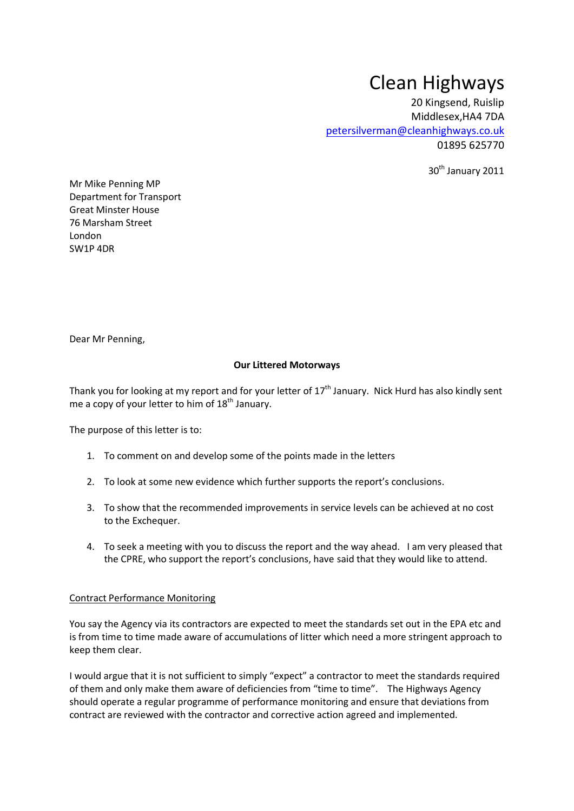# Clean Highways

20 Kingsend, Ruislip Middlesex,HA4 7DA [petersilverman@cleanhighways.co.uk](mailto:petersilverman@cleanhighways.co.uk) 01895 625770

30<sup>th</sup> January 2011

Mr Mike Penning MP Department for Transport Great Minster House 76 Marsham Street London SW1P 4DR

Dear Mr Penning,

## **Our Littered Motorways**

Thank you for looking at my report and for your letter of  $17<sup>th</sup>$  January. Nick Hurd has also kindly sent me a copy of your letter to him of  $18<sup>th</sup>$  January.

The purpose of this letter is to:

- 1. To comment on and develop some of the points made in the letters
- 2. To look at some new evidence which further supports the report's conclusions.
- 3. To show that the recommended improvements in service levels can be achieved at no cost to the Exchequer.
- 4. To seek a meeting with you to discuss the report and the way ahead. I am very pleased that the CPRE, who support the report's conclusions, have said that they would like to attend.

### Contract Performance Monitoring

You say the Agency via its contractors are expected to meet the standards set out in the EPA etc and is from time to time made aware of accumulations of litter which need a more stringent approach to keep them clear.

I would argue that it is not sufficient to simply "expect" a contractor to meet the standards required of them and only make them aware of deficiencies from "time to time". The Highways Agency should operate a regular programme of performance monitoring and ensure that deviations from contract are reviewed with the contractor and corrective action agreed and implemented.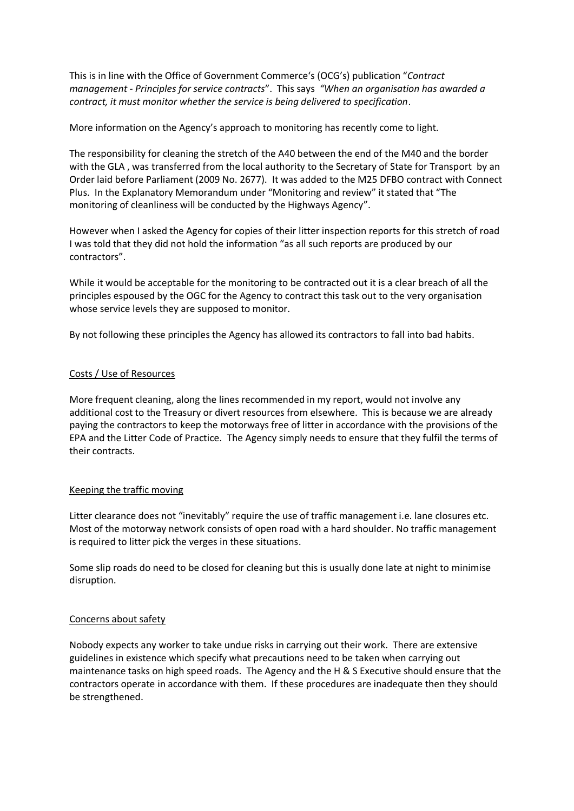This is in line with the Office of Government Commerce's (OCG's) publication "*Contract management - Principles for service contracts*". This says *"When an organisation has awarded a contract, it must monitor whether the service is being delivered to specification*.

More information on the Agency's approach to monitoring has recently come to light.

The responsibility for cleaning the stretch of the A40 between the end of the M40 and the border with the GLA , was transferred from the local authority to the Secretary of State for Transport by an Order laid before Parliament (2009 No. 2677). It was added to the M25 DFBO contract with Connect Plus. In the Explanatory Memorandum under "Monitoring and review" it stated that "The monitoring of cleanliness will be conducted by the Highways Agency".

However when I asked the Agency for copies of their litter inspection reports for this stretch of road I was told that they did not hold the information "as all such reports are produced by our contractors".

While it would be acceptable for the monitoring to be contracted out it is a clear breach of all the principles espoused by the OGC for the Agency to contract this task out to the very organisation whose service levels they are supposed to monitor.

By not following these principles the Agency has allowed its contractors to fall into bad habits.

## Costs / Use of Resources

More frequent cleaning, along the lines recommended in my report, would not involve any additional cost to the Treasury or divert resources from elsewhere. This is because we are already paying the contractors to keep the motorways free of litter in accordance with the provisions of the EPA and the Litter Code of Practice. The Agency simply needs to ensure that they fulfil the terms of their contracts.

### Keeping the traffic moving

Litter clearance does not "inevitably" require the use of traffic management i.e. lane closures etc. Most of the motorway network consists of open road with a hard shoulder. No traffic management is required to litter pick the verges in these situations.

Some slip roads do need to be closed for cleaning but this is usually done late at night to minimise disruption.

### Concerns about safety

Nobody expects any worker to take undue risks in carrying out their work. There are extensive guidelines in existence which specify what precautions need to be taken when carrying out maintenance tasks on high speed roads. The Agency and the H & S Executive should ensure that the contractors operate in accordance with them. If these procedures are inadequate then they should be strengthened.